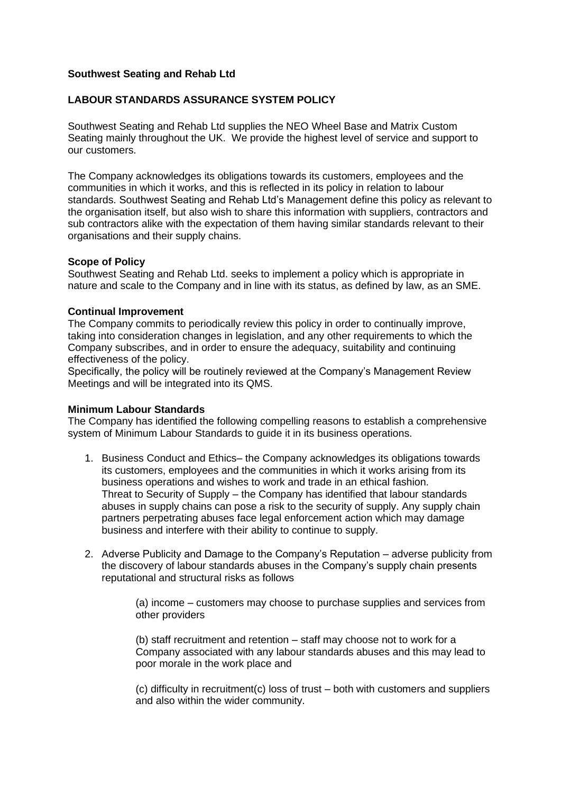## **Southwest Seating and Rehab Ltd**

# **LABOUR STANDARDS ASSURANCE SYSTEM POLICY**

Southwest Seating and Rehab Ltd supplies the NEO Wheel Base and Matrix Custom Seating mainly throughout the UK. We provide the highest level of service and support to our customers.

The Company acknowledges its obligations towards its customers, employees and the communities in which it works, and this is reflected in its policy in relation to labour standards. Southwest Seating and Rehab Ltd's Management define this policy as relevant to the organisation itself, but also wish to share this information with suppliers, contractors and sub contractors alike with the expectation of them having similar standards relevant to their organisations and their supply chains.

#### **Scope of Policy**

Southwest Seating and Rehab Ltd. seeks to implement a policy which is appropriate in nature and scale to the Company and in line with its status, as defined by law, as an SME.

#### **Continual Improvement**

The Company commits to periodically review this policy in order to continually improve, taking into consideration changes in legislation, and any other requirements to which the Company subscribes, and in order to ensure the adequacy, suitability and continuing effectiveness of the policy.

Specifically, the policy will be routinely reviewed at the Company's Management Review Meetings and will be integrated into its QMS.

## **Minimum Labour Standards**

The Company has identified the following compelling reasons to establish a comprehensive system of Minimum Labour Standards to guide it in its business operations.

- 1. Business Conduct and Ethics– the Company acknowledges its obligations towards its customers, employees and the communities in which it works arising from its business operations and wishes to work and trade in an ethical fashion. Threat to Security of Supply – the Company has identified that labour standards abuses in supply chains can pose a risk to the security of supply. Any supply chain partners perpetrating abuses face legal enforcement action which may damage business and interfere with their ability to continue to supply.
- 2. Adverse Publicity and Damage to the Company's Reputation adverse publicity from the discovery of labour standards abuses in the Company's supply chain presents reputational and structural risks as follows

(a) income – customers may choose to purchase supplies and services from other providers

(b) staff recruitment and retention – staff may choose not to work for a Company associated with any labour standards abuses and this may lead to poor morale in the work place and

(c) difficulty in recruitment(c) loss of trust – both with customers and suppliers and also within the wider community.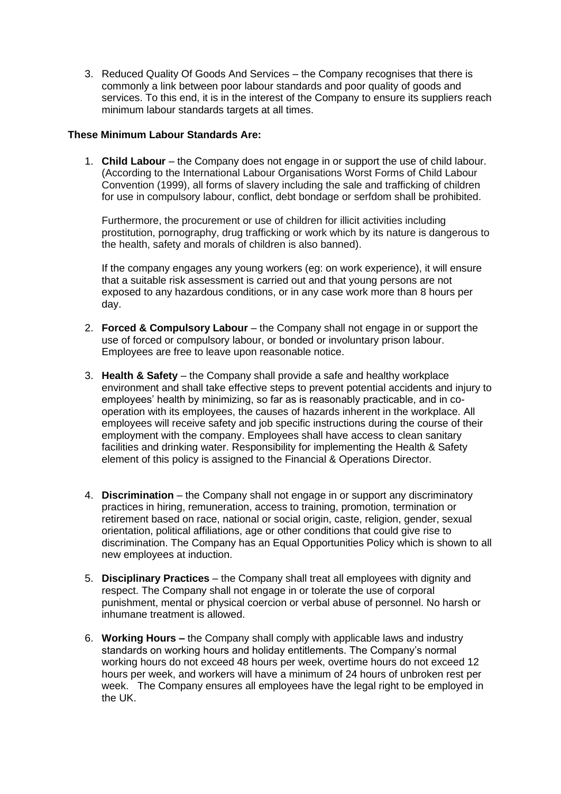3. Reduced Quality Of Goods And Services – the Company recognises that there is commonly a link between poor labour standards and poor quality of goods and services. To this end, it is in the interest of the Company to ensure its suppliers reach minimum labour standards targets at all times.

## **These Minimum Labour Standards Are:**

1. **Child Labour** – the Company does not engage in or support the use of child labour. (According to the International Labour Organisations Worst Forms of Child Labour Convention (1999), all forms of slavery including the sale and trafficking of children for use in compulsory labour, conflict, debt bondage or serfdom shall be prohibited.

Furthermore, the procurement or use of children for illicit activities including prostitution, pornography, drug trafficking or work which by its nature is dangerous to the health, safety and morals of children is also banned).

If the company engages any young workers (eg: on work experience), it will ensure that a suitable risk assessment is carried out and that young persons are not exposed to any hazardous conditions, or in any case work more than 8 hours per day.

- 2. **Forced & Compulsory Labour** the Company shall not engage in or support the use of forced or compulsory labour, or bonded or involuntary prison labour. Employees are free to leave upon reasonable notice.
- 3. **Health & Safety** the Company shall provide a safe and healthy workplace environment and shall take effective steps to prevent potential accidents and injury to employees' health by minimizing, so far as is reasonably practicable, and in cooperation with its employees, the causes of hazards inherent in the workplace. All employees will receive safety and job specific instructions during the course of their employment with the company. Employees shall have access to clean sanitary facilities and drinking water. Responsibility for implementing the Health & Safety element of this policy is assigned to the Financial & Operations Director.
- 4. **Discrimination** the Company shall not engage in or support any discriminatory practices in hiring, remuneration, access to training, promotion, termination or retirement based on race, national or social origin, caste, religion, gender, sexual orientation, political affiliations, age or other conditions that could give rise to discrimination. The Company has an Equal Opportunities Policy which is shown to all new employees at induction.
- 5. **Disciplinary Practices** the Company shall treat all employees with dignity and respect. The Company shall not engage in or tolerate the use of corporal punishment, mental or physical coercion or verbal abuse of personnel. No harsh or inhumane treatment is allowed.
- 6. **Working Hours –** the Company shall comply with applicable laws and industry standards on working hours and holiday entitlements. The Company's normal working hours do not exceed 48 hours per week, overtime hours do not exceed 12 hours per week, and workers will have a minimum of 24 hours of unbroken rest per week. The Company ensures all employees have the legal right to be employed in the UK.